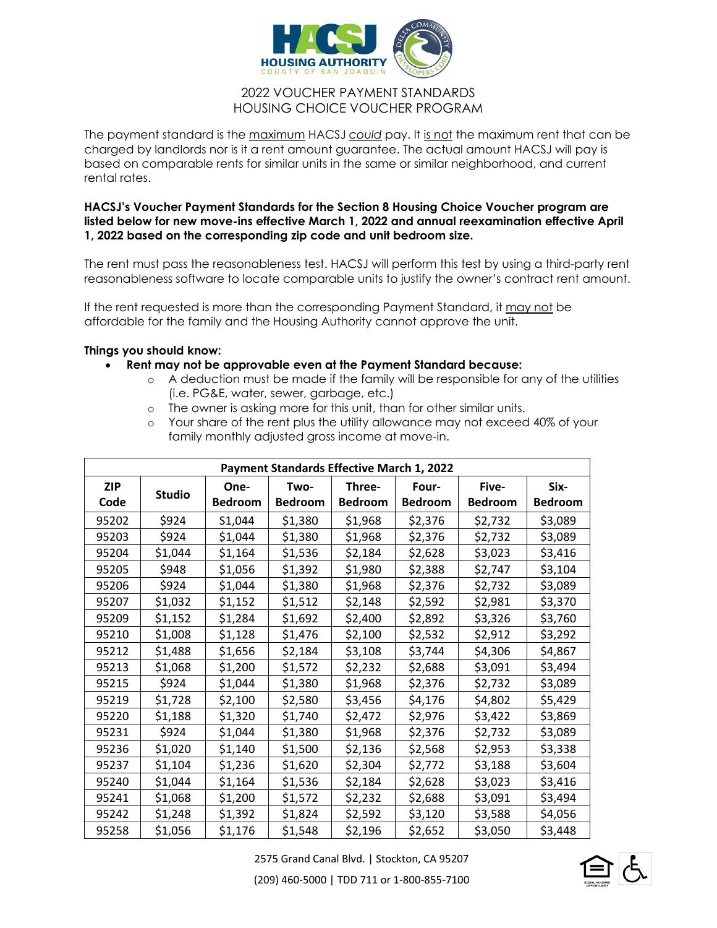

## 2022 VOUCHER PAYMENT STANDARDS HOUSING CHOICE VOUCHER PROGRAM

The payment standard is the maximum HACSJ *could* pay. It is not the maximum rent that can be charged by landlords nor is it a rent amount guarantee. The actual amount HACSJ will pay is based on comparable rents for similar units in the same or similar neighborhood, and current rental rates.

## **HACSJ's Voucher Payment Standards for the Section 8 Housing Choice Voucher program are listed below for new move-ins effective March 1, 2022 and annual reexamination effective April 1, 2022 based on the corresponding zip code and unit bedroom size.**

The rent must pass the reasonableness test. HACSJ will perform this test by using a third-party rent reasonableness software to locate comparable units to justify the owner's contract rent amount.

If the rent requested is more than the corresponding Payment Standard, it may not be affordable for the family and the Housing Authority cannot approve the unit.

## **Things you should know:**

- **Rent may not be approvable even at the Payment Standard because:** 
	- o A deduction must be made if the family will be responsible for any of the utilities (i.e. PG&E, water, sewer, garbage, etc.)
	- o The owner is asking more for this unit, than for other similar units.
	- o Your share of the rent plus the utility allowance may not exceed 40% of your family monthly adjusted gross income at move-in.

| <b>Payment Standards Effective March 1, 2022</b> |               |                |                |                |                |                |                |  |  |  |  |
|--------------------------------------------------|---------------|----------------|----------------|----------------|----------------|----------------|----------------|--|--|--|--|
| <b>ZIP</b>                                       | <b>Studio</b> | One-           | Two-           | Three-         | Four-          | Five-          | Six-           |  |  |  |  |
| Code                                             |               | <b>Bedroom</b> | <b>Bedroom</b> | <b>Bedroom</b> | <b>Bedroom</b> | <b>Bedroom</b> | <b>Bedroom</b> |  |  |  |  |
| 95202                                            | \$924         | S1,044         | \$1,380        | \$1,968        | \$2,376        | \$2,732        | \$3,089        |  |  |  |  |
| 95203                                            | \$924         | \$1,044        | \$1,380        | \$1,968        | \$2,376        | \$2,732        | \$3,089        |  |  |  |  |
| 95204                                            | \$1,044       | \$1,164        | \$1,536        | \$2,184        | \$2,628        | \$3,023        | \$3,416        |  |  |  |  |
| 95205                                            | \$948         | \$1,056        | \$1,392        | \$1,980        | \$2,388        | \$2,747        | \$3,104        |  |  |  |  |
| 95206                                            | \$924         | \$1,044        | \$1,380        | \$1,968        | \$2,376        | \$2,732        | \$3,089        |  |  |  |  |
| 95207                                            | \$1,032       | \$1,152        | \$1,512        | \$2,148        | \$2,592        | \$2,981        | \$3,370        |  |  |  |  |
| 95209                                            | \$1,152       | \$1,284        | \$1,692        | \$2,400        | \$2,892        | \$3,326        | \$3,760        |  |  |  |  |
| 95210                                            | \$1,008       | \$1,128        | \$1,476        | \$2,100        | \$2,532        | \$2,912        | \$3,292        |  |  |  |  |
| 95212                                            | \$1,488       | \$1,656        | \$2,184        | \$3,108        | \$3,744        | \$4,306        | \$4,867        |  |  |  |  |
| 95213                                            | \$1,068       | \$1,200        | \$1,572        | \$2,232        | \$2,688        | \$3,091        | \$3,494        |  |  |  |  |
| 95215                                            | \$924         | \$1,044        | \$1,380        | \$1,968        | \$2,376        | \$2,732        | \$3,089        |  |  |  |  |
| 95219                                            | \$1,728       | \$2,100        | \$2,580        | \$3,456        | \$4,176        | \$4,802        | \$5,429        |  |  |  |  |
| 95220                                            | \$1,188       | \$1,320        | \$1,740        | \$2,472        | \$2,976        | \$3,422        | \$3,869        |  |  |  |  |
| 95231                                            | \$924         | \$1,044        | \$1,380        | \$1,968        | \$2,376        | \$2,732        | \$3,089        |  |  |  |  |
| 95236                                            | \$1,020       | \$1,140        | \$1,500        | \$2,136        | \$2,568        | \$2,953        | \$3,338        |  |  |  |  |
| 95237                                            | \$1,104       | \$1,236        | \$1,620        | \$2,304        | \$2,772        | \$3,188        | \$3,604        |  |  |  |  |
| 95240                                            | \$1,044       | \$1,164        | \$1,536        | \$2,184        | \$2,628        | \$3,023        | \$3,416        |  |  |  |  |
| 95241                                            | \$1,068       | \$1,200        | \$1,572        | \$2,232        | \$2,688        | \$3,091        | \$3,494        |  |  |  |  |
| 95242                                            | \$1,248       | \$1,392        | \$1,824        | \$2,592        | \$3,120        | \$3,588        | \$4,056        |  |  |  |  |
| 95258                                            | \$1,056       | \$1,176        | \$1,548        | \$2,196        | \$2,652        | \$3,050        | \$3,448        |  |  |  |  |

2575 Grand Canal Blvd. | Stockton, CA 95207